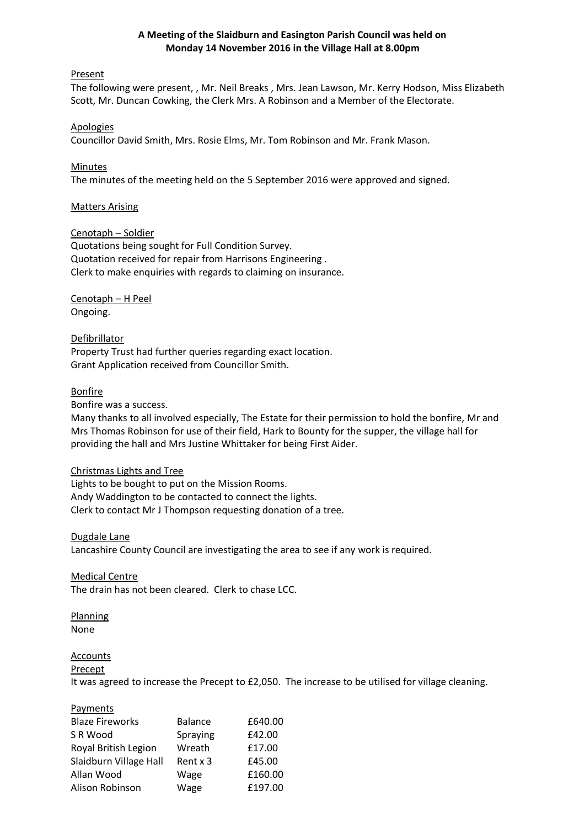## **A Meeting of the Slaidburn and Easington Parish Council was held on Monday 14 November 2016 in the Village Hall at 8.00pm**

### Present

The following were present, , Mr. Neil Breaks , Mrs. Jean Lawson, Mr. Kerry Hodson, Miss Elizabeth Scott, Mr. Duncan Cowking, the Clerk Mrs. A Robinson and a Member of the Electorate.

#### Apologies

Councillor David Smith, Mrs. Rosie Elms, Mr. Tom Robinson and Mr. Frank Mason.

## **Minutes**

The minutes of the meeting held on the 5 September 2016 were approved and signed.

## Matters Arising

#### Cenotaph – Soldier

Quotations being sought for Full Condition Survey. Quotation received for repair from Harrisons Engineering . Clerk to make enquiries with regards to claiming on insurance.

Cenotaph – H Peel Ongoing.

**Defibrillator** Property Trust had further queries regarding exact location. Grant Application received from Councillor Smith.

## **Bonfire**

Bonfire was a success.

Many thanks to all involved especially, The Estate for their permission to hold the bonfire, Mr and Mrs Thomas Robinson for use of their field, Hark to Bounty for the supper, the village hall for providing the hall and Mrs Justine Whittaker for being First Aider.

#### Christmas Lights and Tree

Lights to be bought to put on the Mission Rooms. Andy Waddington to be contacted to connect the lights. Clerk to contact Mr J Thompson requesting donation of a tree.

#### Dugdale Lane

Lancashire County Council are investigating the area to see if any work is required.

#### Medical Centre

The drain has not been cleared. Clerk to chase LCC.

#### **Planning**

None

# **Accounts**

#### **Precept**

It was agreed to increase the Precept to £2,050. The increase to be utilised for village cleaning.

#### **Payments**

| <b>Blaze Fireworks</b> | <b>Balance</b> | £640.00 |
|------------------------|----------------|---------|
| SR Wood                | Spraying       | £42.00  |
| Royal British Legion   | Wreath         | £17.00  |
| Slaidburn Village Hall | Rent x 3       | £45.00  |
| Allan Wood             | Wage           | £160.00 |
| Alison Robinson        | Wage           | £197.00 |